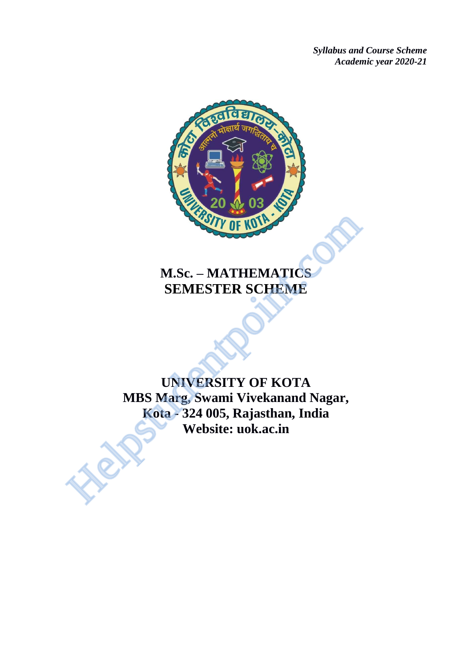*Syllabus and Course Scheme Academic year 2020-21*



# **M.Sc. – MATHEMATICS SEMESTER SCHEME**

**UNIVERSITY OF KOTA MBS Marg, Swami Vivekanand Nagar, Kota - 324 005, Rajasthan, India Website: uok.ac.in** M.Sc. – MATHEMATICS<br>
SEMESTER SCHEME<br>
UNIVERSITY OF KOTA<br>
MBS Marg, Swami Vivekanand Nagar,<br>
Kota - 324 005, Rajasthan, India<br>
Website: uok.ac.in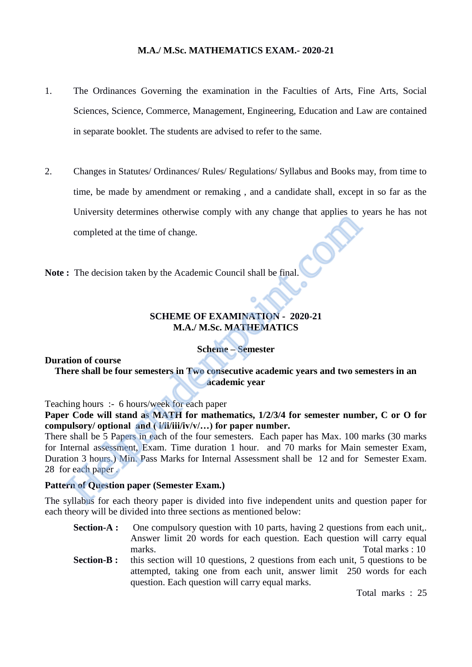# **M.A./ M.Sc. MATHEMATICS EXAM.- 2020-21**

- 1. The Ordinances Governing the examination in the Faculties of Arts, Fine Arts, Social Sciences, Science, Commerce, Management, Engineering, Education and Law are contained in separate booklet. The students are advised to refer to the same.
- 2. Changes in Statutes/ Ordinances/ Rules/ Regulations/ Syllabus and Books may, from time to time, be made by amendment or remaking , and a candidate shall, except in so far as the University determines otherwise comply with any change that applies to years he has not completed at the time of change.

**Note :** The decision taken by the Academic Council shall be final.

# **SCHEME OF EXAMINATION - 2020-21 M.A./ M.Sc. MATHEMATICS**

# **Scheme – Semester**

# **Duration of course**

**There shall be four semesters in Two consecutive academic years and two semesters in an academic year** 

Teaching hours :- 6 hours/week for each paper

**Paper Code will stand as MATH for mathematics, 1/2/3/4 for semester number, C or O for compulsory/ optional and ( i/ii/iii/iv/v/…) for paper number.** 

There shall be 5 Papers in each of the four semesters. Each paper has Max. 100 marks (30 marks for Internal assessment, Exam. Time duration 1 hour. and 70 marks for Main semester Exam, Duration 3 hours.) Min. Pass Marks for Internal Assessment shall be 12 and for Semester Exam. 28 for each paper . completed at the time of change.<br>
The decision taken by the Academic Council shall be final.<br>
SCHEME OF EXAMINATION - 2020-21<br>
M.A./ M.Sc. MATHEMATICS<br>
SCHEME OF EXAMINATION - 2020-21<br>
M.A./ M.Sc. MATHEMATICS<br>
Scheme – Sem

# **Pattern of Question paper (Semester Exam.)**

The syllabus for each theory paper is divided into five independent units and question paper for each theory will be divided into three sections as mentioned below:

- **Section-A :** One compulsory question with 10 parts, having 2 questions from each unit,. Answer limit 20 words for each question. Each question will carry equal marks. Total marks : 10
- **Section-B :** this section will 10 questions, 2 questions from each unit, 5 questions to be attempted, taking one from each unit, answer limit 250 words for each question. Each question will carry equal marks.

Total marks : 25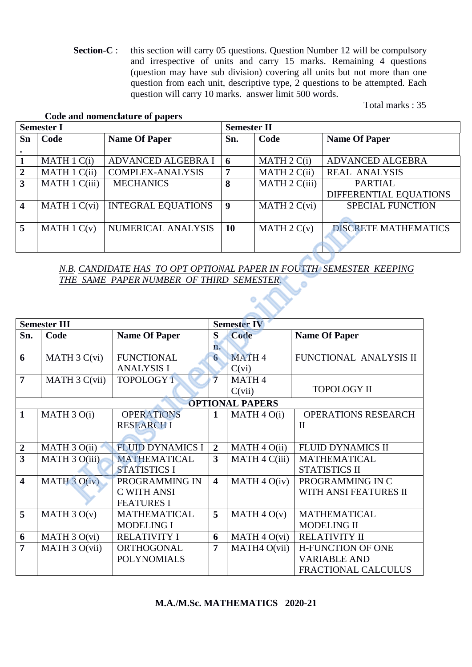**Section-C** : this section will carry 05 questions. Question Number 12 will be compulsory and irrespective of units and carry 15 marks. Remaining 4 questions (question may have sub division) covering all units but not more than one question from each unit, descriptive type, 2 questions to be attempted. Each question will carry 10 marks. answer limit 500 words.

Total marks : 35

# **Code and nomenclature of papers**

| <b>Semester I</b> |                              |                           |           | <b>Semester II</b>      |                             |  |  |
|-------------------|------------------------------|---------------------------|-----------|-------------------------|-----------------------------|--|--|
| Sn                | Code<br><b>Name Of Paper</b> |                           | Sn.       | Code                    | <b>Name Of Paper</b>        |  |  |
|                   |                              |                           |           |                         |                             |  |  |
|                   | MATH 1 C(i)                  | ADVANCED ALGEBRA I        | -6        | MATH $2 C(i)$           | <b>ADVANCED ALGEBRA</b>     |  |  |
| $\overline{2}$    | MATH 1 C(ii)                 | <b>COMPLEX-ANALYSIS</b>   | 7         | MATH 2 C(ii)            | <b>REAL ANALYSIS</b>        |  |  |
| 3                 | MATH 1 C(iii)                | <b>MECHANICS</b>          | 8         | MATH $2 \text{ C(iii)}$ | <b>PARTIAL</b>              |  |  |
|                   |                              |                           |           |                         | DIFFERENTIAL EQUATIONS      |  |  |
| 4                 | MATH $1 \text{ C}(vi)$       | <b>INTEGRAL EQUATIONS</b> | 9         | MATH $2 \text{ C}(vi)$  | <b>SPECIAL FUNCTION</b>     |  |  |
|                   |                              |                           |           |                         |                             |  |  |
| 5                 | MATH $1 C(v)$                | NUMERICAL ANALYSIS        | <b>10</b> | MATH $2 C(v)$           | <b>DISCRETE MATHEMATICS</b> |  |  |
|                   |                              |                           |           |                         |                             |  |  |

| 5                       | MATH $1 C(v)$       | NUMERICAL ANALYSIS                                                  |                         | 10                 | MATH $2 C(v)$            |                     | <b>DISCRETE MATHEM.</b>    |  |
|-------------------------|---------------------|---------------------------------------------------------------------|-------------------------|--------------------|--------------------------|---------------------|----------------------------|--|
|                         |                     |                                                                     |                         |                    |                          |                     |                            |  |
|                         |                     |                                                                     |                         |                    |                          |                     |                            |  |
|                         |                     | N.B. CANDIDATE HAS TO OPT OPTIONAL PAPER IN FOUTTH SEMESTER KEEPING |                         |                    |                          |                     |                            |  |
|                         |                     | THE SAME PAPER NUMBER OF THIRD SEMESTER.                            |                         |                    |                          |                     |                            |  |
|                         |                     |                                                                     |                         |                    |                          |                     |                            |  |
|                         |                     |                                                                     |                         |                    |                          |                     |                            |  |
|                         |                     |                                                                     |                         |                    |                          |                     |                            |  |
|                         | <b>Semester III</b> |                                                                     |                         | <b>Semester IV</b> |                          |                     |                            |  |
| Sn.                     | Code                | <b>Name Of Paper</b>                                                | S                       | <b>Code</b>        |                          |                     | <b>Name Of Paper</b>       |  |
|                         |                     |                                                                     | n.                      |                    |                          |                     |                            |  |
| 6                       | MATH 3 C(vi)        | <b>FUNCTIONAL</b>                                                   | 6                       | MATH <sub>4</sub>  |                          |                     | FUNCTIONAL ANALYSIS II     |  |
|                         |                     | <b>ANALYSIS I</b>                                                   |                         | C(vi)              |                          |                     |                            |  |
| $\overline{7}$          | MATH 3 C(vii)       | <b>TOPOLOGY I</b>                                                   | $\overline{7}$          | MATH <sub>4</sub>  |                          |                     |                            |  |
|                         |                     |                                                                     |                         | C(vii)             |                          |                     | <b>TOPOLOGY II</b>         |  |
| <b>OPTIONAL PAPERS</b>  |                     |                                                                     |                         |                    |                          |                     |                            |  |
| $\mathbf{1}$            | MATH 3 O(i)         | <b>OPERATIONS</b>                                                   | $\mathbf{1}$            |                    | MATH 4 O(i)              |                     | <b>OPERATIONS RESEARCH</b> |  |
|                         |                     | <b>RESEARCH I</b>                                                   |                         |                    |                          |                     | $\mathbf{I}$               |  |
|                         |                     |                                                                     |                         |                    |                          |                     |                            |  |
| $\boldsymbol{2}$        | MATH 3 O(ii)        | <b>FLUID DYNAMICS I</b>                                             | $\overline{2}$          |                    | MATH 4 O(ii)             |                     | <b>FLUID DYNAMICS II</b>   |  |
| $\overline{3}$          | MATH 3 O(iii)       | <b>MATHEMATICAL</b>                                                 | $\overline{3}$          |                    | MATH 4 C(iii)            |                     | <b>MATHEMATICAL</b>        |  |
|                         |                     | <b>STATISTICS I</b>                                                 |                         |                    |                          |                     | <b>STATISTICS II</b>       |  |
| $\overline{\mathbf{4}}$ | MATH $3 O(iv)$      | PROGRAMMING IN                                                      | $\overline{\mathbf{4}}$ |                    | MATH 4 O(iv)             | PROGRAMMING IN C    |                            |  |
|                         |                     | <b>C WITH ANSI</b>                                                  |                         |                    |                          |                     | WITH ANSI FEATURES II      |  |
|                         |                     | <b>FEATURES I</b>                                                   |                         |                    |                          |                     |                            |  |
| 5                       | MATH $3 O(v)$       | <b>MATHEMATICAL</b>                                                 | 5                       |                    | MATH 4 O(v)              | <b>MATHEMATICAL</b> |                            |  |
|                         |                     | <b>MODELING I</b>                                                   |                         |                    |                          |                     | <b>MODELING II</b>         |  |
| 6                       | MATH 3 O(vi)        | <b>RELATIVITY I</b>                                                 | 6                       |                    | MATH 4 O(vi)             |                     | RELATIVITY II              |  |
| $\overline{7}$          | MATH 3 O(vii)       | ORTHOGONAL                                                          | $\overline{7}$          |                    | MATH <sub>4</sub> O(vii) |                     | <b>H-FUNCTION OF ONE</b>   |  |
|                         |                     | <b>POLYNOMIALS</b>                                                  |                         |                    |                          |                     | <b>VARIABLE AND</b>        |  |
|                         |                     |                                                                     |                         |                    |                          |                     | <b>FRACTIONAL CALCULUS</b> |  |

# **M.A./M.Sc. MATHEMATICS 2020-21**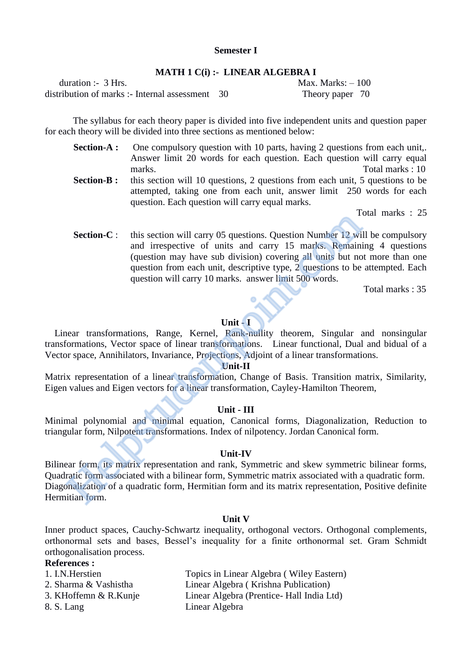# **Semester I**

#### **MATH 1 C(i) :- LINEAR ALGEBRA I**

duration :- 3 Hrs. Max. Marks: – 100 distribution of marks :- Internal assessment 30 Theory paper 70

The syllabus for each theory paper is divided into five independent units and question paper for each theory will be divided into three sections as mentioned below:

question. Each question will carry equal marks.

**Section-A :** One compulsory question with 10 parts, having 2 questions from each unit,. Answer limit 20 words for each question. Each question will carry equal marks. Total marks : 10 **Section-B :** this section will 10 questions, 2 questions from each unit, 5 questions to be attempted, taking one from each unit, answer limit 250 words for each

Total marks : 25

**Section-C** : this section will carry 05 questions. Question Number 12 will be compulsory and irrespective of units and carry 15 marks. Remaining 4 questions (question may have sub division) covering all units but not more than one question from each unit, descriptive type, 2 questions to be attempted. Each question will carry 10 marks. answer limit 500 words. Section-C: this section will carry 05 questions. Question Number 12 will cantal irrespective of units and carry 15 marks. Remaining (question may have sub division) covering all units but no question from each unit, descri

**Total marks : 35** 

#### **Unit - I**

 Linear transformations, Range, Kernel, Rank-nullity theorem, Singular and nonsingular transformations, Vector space of linear transformations. Linear functional, Dual and bidual of a Vector space, Annihilators, Invariance, Projections, Adjoint of a linear transformations.

#### **Unit-II**

Matrix representation of a linear transformation, Change of Basis. Transition matrix, Similarity, Eigen values and Eigen vectors for a linear transformation, Cayley-Hamilton Theorem,

#### **Unit - III**

Minimal polynomial and minimal equation, Canonical forms, Diagonalization, Reduction to triangular form, Nilpotent transformations. Index of nilpotency. Jordan Canonical form.

#### **Unit-IV**

Bilinear form, its matrix representation and rank, Symmetric and skew symmetric bilinear forms, Quadratic form associated with a bilinear form, Symmetric matrix associated with a quadratic form. Diagonalization of a quadratic form, Hermitian form and its matrix representation, Positive definite Hermitian form.

#### **Unit V**

Inner product spaces, Cauchy-Schwartz inequality, orthogonal vectors. Orthogonal complements, orthonormal sets and bases, Bessel's inequality for a finite orthonormal set. Gram Schmidt orthogonalisation process.

# **References :**

| 1. I.N. Herstien      | Topics in Linear Algebra (Wiley Eastern)   |
|-----------------------|--------------------------------------------|
| 2. Sharma & Vashistha | Linear Algebra (Krishna Publication)       |
| 3. KHoffemn & R.Kunje | Linear Algebra (Prentice - Hall India Ltd) |
| 8. S. Lang            | Linear Algebra                             |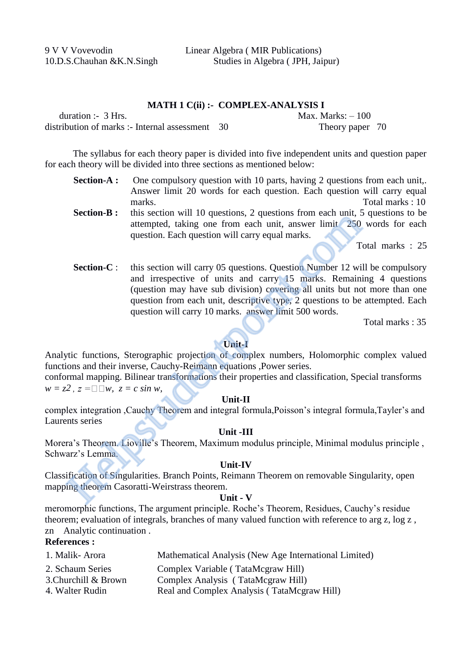#### **MATH 1 C(ii) :- COMPLEX-ANALYSIS I**

| duration :- $3$ Hrs.                              | Max. Marks: $-100$ |
|---------------------------------------------------|--------------------|
| distribution of marks :- Internal assessment $30$ | Theory paper 70    |

The syllabus for each theory paper is divided into five independent units and question paper for each theory will be divided into three sections as mentioned below:

- **Section-A :** One compulsory question with 10 parts, having 2 questions from each unit,. Answer limit 20 words for each question. Each question will carry equal marks. Total marks : 10
- **Section-B :** this section will 10 questions, 2 questions from each unit, 5 questions to be attempted, taking one from each unit, answer limit 250 words for each question. Each question will carry equal marks.

Total marks : 25

**Section-C**: this section will carry 05 questions. Question Number 12 will be compulsory and irrespective of units and carry 15 marks. Remaining 4 questions (question may have sub division) covering all units but not more than one question from each unit, descriptive type, 2 questions to be attempted. Each question will carry 10 marks. answer limit 500 words. **Example 2.** Insection with in questions, 2 questions from each tinit, answer limit 250<br>question. Each question will carry equal marks.<br>The distinguise from each unit, and carry 15 marks.<br>The distinguise multiple in the s

Total marks : 35

# **Unit-I**

Analytic functions, Sterographic projection of complex numbers, Holomorphic complex valued functions and their inverse, Cauchy-Reimann equations ,Power series.

conformal mapping. Bilinear transformations their properties and classification, Special transforms  $w = z^2$ ,  $z = \square \square w$ ,  $z = c \sin w$ ,

#### **Unit-II**

complex integration ,Cauchy Theorem and integral formula,Poisson's integral formula,Tayler's and Laurents series

#### **Unit -III**

Morera's Theorem. Lioville's Theorem, Maximum modulus principle, Minimal modulus principle , Schwarz's Lemma.

# **Unit-IV**

Classification of Singularities. Branch Points, Reimann Theorem on removable Singularity, open mapping theorem Casoratti-Weirstrass theorem.

# **Unit - V**

meromorphic functions, The argument principle. Roche's Theorem, Residues, Cauchy's residue theorem; evaluation of integrals, branches of many valued function with reference to arg z, log z , zn Analytic continuation .

# **References :**

| 1. Malik-Arora       | Mathematical Analysis (New Age International Limited) |
|----------------------|-------------------------------------------------------|
| 2. Schaum Series     | Complex Variable (TataMcgraw Hill)                    |
| 3. Churchill & Brown | Complex Analysis (TataMcgraw Hill)                    |
| 4. Walter Rudin      | Real and Complex Analysis (TataMcgraw Hill)           |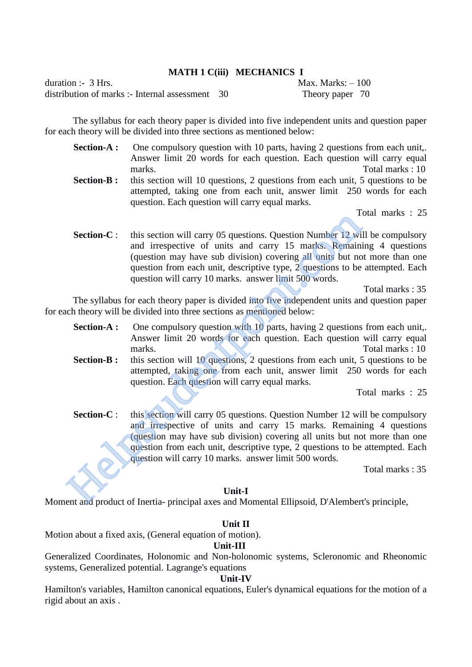# **MATH 1 C(iii) MECHANICS I**

 $\alpha$  duration :- 3 Hrs. Max. Marks:  $-100$ distribution of marks :- Internal assessment 30 Theory paper 70

The syllabus for each theory paper is divided into five independent units and question paper for each theory will be divided into three sections as mentioned below:

**Section-A :** One compulsory question with 10 parts, having 2 questions from each unit,. Answer limit 20 words for each question. Each question will carry equal marks. Total marks : 10 **Section-B :** this section will 10 questions, 2 questions from each unit, 5 questions to be attempted, taking one from each unit, answer limit 250 words for each question. Each question will carry equal marks.

Total marks : 25

**Section-C** : this section will carry 05 questions. Question Number 12 will be compulsory and irrespective of units and carry 15 marks. Remaining 4 questions (question may have sub division) covering all units but not more than one question from each unit, descriptive type, 2 questions to be attempted. Each question will carry 10 marks. answer limit 500 words.

Total marks : 35

The syllabus for each theory paper is divided into five independent units and question paper for each theory will be divided into three sections as mentioned below:

- **Section-A :** One compulsory question with 10 parts, having 2 questions from each unit,. Answer limit 20 words for each question. Each question will carry equal marks. Total marks : 10
- **Section-B :** this section will 10 questions, 2 questions from each unit, 5 questions to be attempted, taking one from each unit, answer limit 250 words for each question. Each question will carry equal marks.

Total marks : 25

**Section-C** : this section will carry 05 questions. Question Number 12 will be compulsory and irrespective of units and carry 15 marks. Remaining 4 questions (question may have sub division) covering all units but not more than one question from each unit, descriptive type, 2 questions to be attempted. Each question will carry 10 marks. answer limit 500 words. Section-C: this section will carry 05 questions. Question Number 12 with and irrespective of units and carry 15 marks. Remaining (question may have sub division) covering all units but no question from each unit, descripti

Total marks : 35

#### **Unit-I**

Moment and product of Inertia- principal axes and Momental Ellipsoid, D'Alembert's principle,

#### **Unit II**

Motion about a fixed axis, (General equation of motion).

# **Unit-III**

Generalized Coordinates, Holonomic and Non-holonomic systems, Scleronomic and Rheonomic systems, Generalized potential. Lagrange's equations

#### **Unit-IV**

Hamilton's variables, Hamilton canonical equations, Euler's dynamical equations for the motion of a rigid about an axis .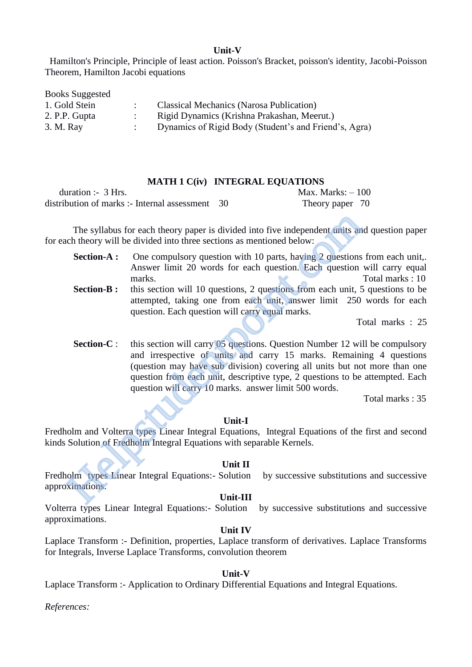#### **Unit-V**

 Hamilton's Principle, Principle of least action. Poisson's Bracket, poisson's identity, Jacobi-Poisson Theorem, Hamilton Jacobi equations

| <b>Books Suggested</b> |                                                       |
|------------------------|-------------------------------------------------------|
| 1. Gold Stein          | <b>Classical Mechanics (Narosa Publication)</b>       |
| 2. P.P. Gupta          | Rigid Dynamics (Krishna Prakashan, Meerut.)           |
| 3. M. Ray              | Dynamics of Rigid Body (Student's and Friend's, Agra) |

#### **MATH 1 C(iv) INTEGRAL EQUATIONS**

duration :- 3 Hrs. Max. Marks: – 100 distribution of marks :- Internal assessment 30 Theory paper 70

The syllabus for each theory paper is divided into five independent units and question paper for each theory will be divided into three sections as mentioned below:

question. Each question will carry equal marks.

**Section-A :** One compulsory question with 10 parts, having 2 questions from each unit,. Answer limit 20 words for each question. Each question will carry equal marks. Total marks : 10 **Section-B :** this section will 10 questions, 2 questions from each unit, 5 questions to be attempted, taking one from each unit, answer limit 250 words for each

Total marks : 25

**Section-C** : this section will carry 05 questions. Question Number 12 will be compulsory and irrespective of units and carry 15 marks. Remaining 4 questions (question may have sub division) covering all units but not more than one question from each unit, descriptive type, 2 questions to be attempted. Each question will carry 10 marks. answer limit 500 words. The syllabus for each theory paper is divided into five independent units and theory will be divided into three sections as mentioned below:<br> **Section-A :** One compulsory question with 10 parts, having 2 questions<br>
Answer

Total marks : 35

# **Unit-I**

Fredholm and Volterra types Linear Integral Equations, Integral Equations of the first and second kinds Solution of Fredholm Integral Equations with separable Kernels.

#### **Unit II**

Fredholm types Linear Integral Equations:- Solution by successive substitutions and successive approximations.

#### **Unit-III**

Volterra types Linear Integral Equations:- Solution by successive substitutions and successive approximations.

# **Unit IV**

Laplace Transform :- Definition, properties, Laplace transform of derivatives. Laplace Transforms for Integrals, Inverse Laplace Transforms, convolution theorem

#### **Unit-V**

Laplace Transform :- Application to Ordinary Differential Equations and Integral Equations.

*References:*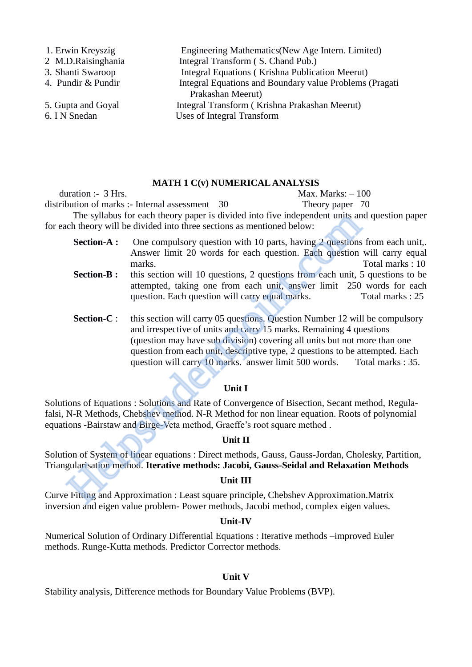| 1. Erwin Kreyszig  | Engineering Mathematics (New Age Intern. Limited)       |
|--------------------|---------------------------------------------------------|
| 2 M.D.Raisinghania | Integral Transform (S. Chand Pub.)                      |
| 3. Shanti Swaroop  | Integral Equations (Krishna Publication Meerut)         |
| 4. Pundir & Pundir | Integral Equations and Boundary value Problems (Pragati |
|                    | Prakashan Meerut)                                       |
| 5. Gupta and Goyal | Integral Transform (Krishna Prakashan Meerut)           |
| 6. I N Snedan      | Uses of Integral Transform                              |
|                    |                                                         |

#### **MATH 1 C(v) NUMERICAL ANALYSIS**

 $\alpha$  duration :- 3 Hrs. Max. Marks: – 100 distribution of marks :- Internal assessment 30 Theory paper 70 The syllabus for each theory paper is divided into five independent units and question paper for each theory will be divided into three sections as mentioned below:

- **Section-A :** One compulsory question with 10 parts, having 2 questions from each unit,. Answer limit 20 words for each question. Each question will carry equal marks. Total marks : 10 **Section-B :** this section will 10 questions, 2 questions from each unit, 5 questions to be
- attempted, taking one from each unit, answer limit 250 words for each question. Each question will carry equal marks. Total marks : 25
- **Section-C** : this section will carry 05 questions. Question Number 12 will be compulsory and irrespective of units and carry 15 marks. Remaining 4 questions (question may have sub division) covering all units but not more than one question from each unit, descriptive type, 2 questions to be attempted. Each question will carry 10 marks. answer limit 500 words. Total marks : 35. The syllabus for each theory paper is any<br>calculato the meeting and the meeting and the condition-<br>Section-A: Cone compulsory question as mentioned below:<br>Section-B: Cone compulsory question with 10 parts, having 2 questio

# **Unit I**

Solutions of Equations : Solutions and Rate of Convergence of Bisection, Secant method, Regulafalsi, N-R Methods, Chebshev method. N-R Method for non linear equation. Roots of polynomial equations -Bairstaw and Birge-Veta method, Graeffe's root square method .

#### **Unit II**

Solution of System of linear equations : Direct methods, Gauss, Gauss-Jordan, Cholesky, Partition, Triangularisation method. **Iterative methods: Jacobi, Gauss-Seidal and Relaxation Methods**

#### **Unit III**

Curve Fitting and Approximation : Least square principle, Chebshev Approximation.Matrix inversion and eigen value problem- Power methods, Jacobi method, complex eigen values.

#### **Unit-IV**

Numerical Solution of Ordinary Differential Equations : Iterative methods –improved Euler methods. Runge-Kutta methods. Predictor Corrector methods.

#### **Unit V**

Stability analysis, Difference methods for Boundary Value Problems (BVP).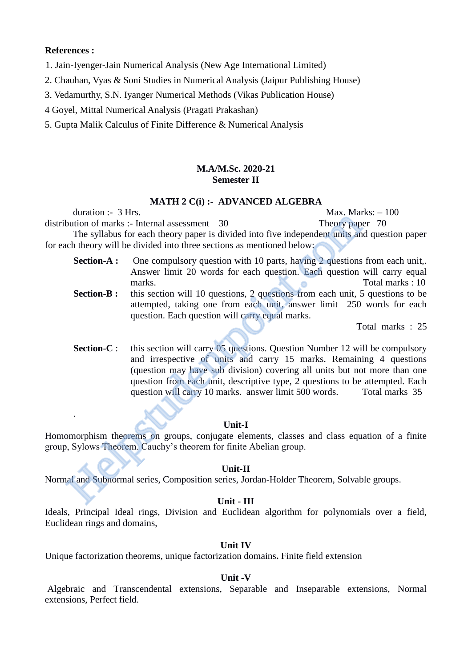#### **References :**

.

- 1. Jain-Iyenger-Jain Numerical Analysis (New Age International Limited)
- 2. Chauhan, Vyas & Soni Studies in Numerical Analysis (Jaipur Publishing House)
- 3. Vedamurthy, S.N. Iyanger Numerical Methods (Vikas Publication House)
- 4 Goyel, Mittal Numerical Analysis (Pragati Prakashan)
- 5. Gupta Malik Calculus of Finite Difference & Numerical Analysis

## **M.A/M.Sc. 2020-21 Semester II**

#### **MATH 2 C(i) :- ADVANCED ALGEBRA**

duration :-  $3 \text{ Hrs.}$  Max. Marks:  $-100$ distribution of marks :- Internal assessment 30 Theory paper 70 The syllabus for each theory paper is divided into five independent units and question paper

for each theory will be divided into three sections as mentioned below:

- **Section-A :** One compulsory question with 10 parts, having 2 questions from each unit,. Answer limit 20 words for each question. Each question will carry equal marks. Total marks : 10 **Section-B :** this section will 10 questions, 2 questions from each unit, 5 questions to be
	- attempted, taking one from each unit, answer limit 250 words for each question. Each question will carry equal marks.

Total marks : 25

**Section-C** : this section will carry 05 questions. Question Number 12 will be compulsory and irrespective of units and carry 15 marks. Remaining 4 questions (question may have sub division) covering all units but not more than one question from each unit, descriptive type, 2 questions to be attempted. Each question will carry 10 marks. answer limit 500 words. Total marks 35 Value 1: 9 Inst. Find a seessment 30 Theory paper<br>
Interval Theory paper is divided into five independent units and<br>
theory will be divided into three sections as mentioned below:<br> **Section-A :** One compulsory question wit

#### **Unit-I**

Homomorphism theorems on groups, conjugate elements, classes and class equation of a finite group, Sylows Theorem. Cauchy's theorem for finite Abelian group.

#### **Unit-II**

Normal and Subnormal series, Composition series, Jordan-Holder Theorem, Solvable groups.

# **Unit - III**

Ideals, Principal Ideal rings, Division and Euclidean algorithm for polynomials over a field, Euclidean rings and domains,

#### **Unit IV**

Unique factorization theorems, unique factorization domains**.** Finite field extension

# **Unit -V**

Algebraic and Transcendental extensions, Separable and Inseparable extensions, Normal extensions, Perfect field.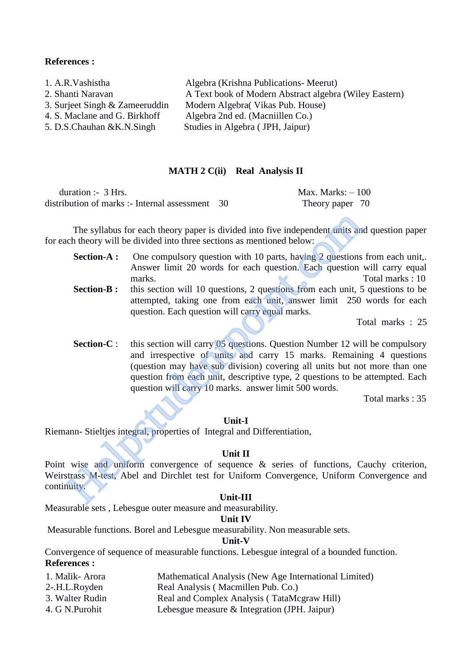#### **References :**

| 1. A.R. Vashistha              | Algebra (Krishna Publications - Meerut)                |
|--------------------------------|--------------------------------------------------------|
| 2. Shanti Naravan              | A Text book of Modern Abstract algebra (Wiley Eastern) |
| 3. Surjeet Singh & Zameeruddin | Modern Algebra (Vikas Pub. House)                      |
| 4. S. Maclane and G. Birkhoff  | Algebra 2nd ed. (Macniillen Co.)                       |
| 5. D.S.Chauhan & K.N.Singh     | Studies in Algebra (JPH, Jaipur)                       |
|                                |                                                        |

#### **MATH 2 C(ii) Real Analysis II**

| duration :- $3$ Hrs.                              | Max. Marks: $-100$ |
|---------------------------------------------------|--------------------|
| distribution of marks :- Internal assessment $30$ | Theory paper 70    |

The syllabus for each theory paper is divided into five independent units and question paper for each theory will be divided into three sections as mentioned below:

**Section-A :** One compulsory question with 10 parts, having 2 questions from each unit,. Answer limit 20 words for each question. Each question will carry equal marks. Total marks : 10 **Section-B :** this section will 10 questions, 2 questions from each unit, 5 questions to be attempted, taking one from each unit, answer limit 250 words for each question. Each question will carry equal marks. The syllabus for each theory paper is divided into five independent units and theory will be divided into three sections as mentioned below:<br> **Section-A :** One compulsory question with 10 parts, having 2 questions<br>
Answer

Total marks : 25

**Section-C** : this section will carry 05 questions. Question Number 12 will be compulsory and irrespective of units and carry 15 marks. Remaining 4 questions (question may have sub division) covering all units but not more than one question from each unit, descriptive type, 2 questions to be attempted. Each question will carry 10 marks. answer limit 500 words.

Total marks : 35

#### **Unit-I**

Riemann- Stieltjes integral, properties of Integral and Differentiation,

#### **Unit II**

Point wise and uniform convergence of sequence & series of functions, Cauchy criterion, Weirstrass M-test, Abel and Dirchlet test for Uniform Convergence, Uniform Convergence and continuity.

#### **Unit-III**

Measurable sets , Lebesgue outer measure and measurability.

#### **Unit IV**

Measurable functions. Borel and Lebesgue measurability. Non measurable sets.

#### **Unit-V**

Convergence of sequence of measurable functions. Lebesgue integral of a bounded function. **References :** 

- 1. Malik- Arora Mathematical Analysis (New Age International Limited)
- 2-.H.L.Royden Real Analysis ( Macmillen Pub. Co.)
- 3. Walter Rudin Real and Complex Analysis ( TataMcgraw Hill)
- 4. G N.Purohit Lebesgue measure & Integration (JPH. Jaipur)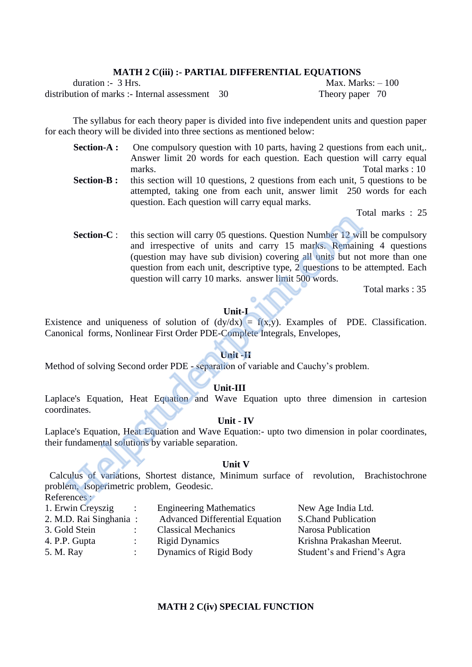# **MATH 2 C(iii) :- PARTIAL DIFFERENTIAL EQUATIONS**

duration :- 3 Hrs. Max. Marks: – 100 distribution of marks :- Internal assessment 30 Theory paper 70

The syllabus for each theory paper is divided into five independent units and question paper for each theory will be divided into three sections as mentioned below:

- **Section-A :** One compulsory question with 10 parts, having 2 questions from each unit,. Answer limit 20 words for each question. Each question will carry equal marks. Total marks : 10 **Section-B :** this section will 10 questions, 2 questions from each unit, 5 questions to be
	- attempted, taking one from each unit, answer limit 250 words for each question. Each question will carry equal marks.

Total marks : 25

**Section-C** : this section will carry 05 questions. Question Number 12 will be compulsory and irrespective of units and carry 15 marks. Remaining 4 questions (question may have sub division) covering all units but not more than one question from each unit, descriptive type, 2 questions to be attempted. Each question will carry 10 marks. answer limit 500 words. Section-C: this section will carry 05 questions. Question Number 12 will cantal imespective of units and carry 15 marks. Remaining (question may have sub division) covering all units but no question from each unit, descrip

Total marks : 35

# **Unit-I**

Existence and uniqueness of solution of  $(dy/dx) = f(x,y)$ . Examples of PDE. Classification. Canonical forms, Nonlinear First Order PDE-Complete Integrals, Envelopes,

#### **Unit -II**

Method of solving Second order PDE - separation of variable and Cauchy's problem.

#### **Unit-III**

Laplace's Equation, Heat Equation and Wave Equation upto three dimension in cartesion coordinates.

# **Unit - IV**

Laplace's Equation, Heat Equation and Wave Equation:- upto two dimension in polar coordinates, their fundamental solutions by variable separation.

#### **Unit V**

 Calculus of variations, Shortest distance, Minimum surface of revolution, Brachistochrone problem, Isoperimetric problem, Geodesic. References :

1. Erwin Creyszig : Engineering Mathematics New Age India Ltd. 2. M.D. Rai Singhania : Advanced Differential Equation S.Chand Publication 3. Gold Stein : Classical Mechanics Narosa Publication 4. P.P. Gupta : Rigid Dynamics Krishna Prakashan Meerut. 5. M. Ray : Dynamics of Rigid Body Student's and Friend's Agra

#### **MATH 2 C(iv) SPECIAL FUNCTION**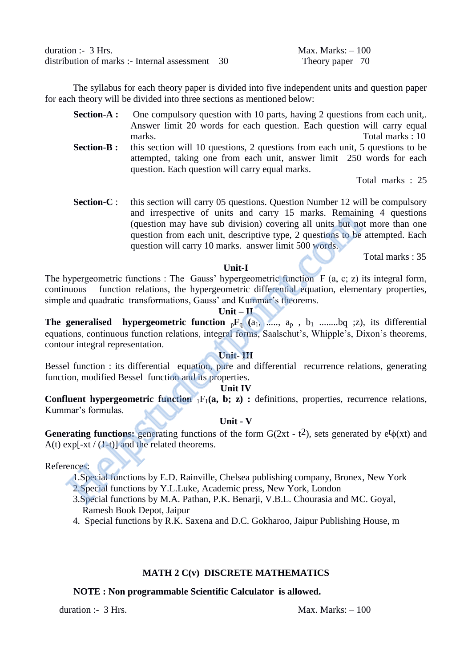duration :- 3 Hrs. Max. Marks: – 100 distribution of marks :- Internal assessment 30 Theory paper 70

The syllabus for each theory paper is divided into five independent units and question paper for each theory will be divided into three sections as mentioned below:

- **Section-A :** One compulsory question with 10 parts, having 2 questions from each unit,. Answer limit 20 words for each question. Each question will carry equal marks. Total marks : 10
- **Section-B :** this section will 10 questions, 2 questions from each unit, 5 questions to be attempted, taking one from each unit, answer limit 250 words for each question. Each question will carry equal marks.

Total marks : 25

**Section-C** : this section will carry 05 questions. Question Number 12 will be compulsory and irrespective of units and carry 15 marks. Remaining 4 questions (question may have sub division) covering all units but not more than one question from each unit, descriptive type, 2 questions to be attempted. Each question will carry 10 marks. answer limit 500 words. and the spectruction and that analy 1.5 maths. Notation<br>(question may have sub division) covering all units but no<br>question from each unit, descriptive type, 2 questions to be<br>question will carry 10 marks. answer limit 50

Total marks : 35

# **Unit-I**

The hypergeometric functions : The Gauss' hypergeometric function  $F (a, c; z)$  its integral form, continuous function relations, the hypergeometric differential equation, elementary properties, simple and quadratic transformations, Gauss' and Kummar's theorems.

#### **Unit – II**

**The generalised hypergeometric function**  ${}_{p}F_{q}$  ( $a_1$ , ....,  $a_p$ ,  $b_1$  ........bq ;z), its differential equations, continuous function relations, integral forms, Saalschut's, Whipple's, Dixon's theorems, contour integral representation.

# **Unit- III**

Bessel function : its differential equation, pure and differential recurrence relations, generating function, modified Bessel function and its properties.

# **Unit IV**

**Confluent hypergeometric function**  $_1F_1(a, b; z)$ **: definitions, properties, recurrence relations,** Kummar's formulas.

# **Unit - V**

**Generating functions:** generating functions of the form  $G(2xt - t^2)$ , sets generated by  $e^t\phi(xt)$  and A(t)  $\exp[-xt/(1-t)]$  and the related theorems.

# References:

- 1.Special functions by E.D. Rainville, Chelsea publishing company, Bronex, New York
- 2.Special functions by Y.L.Luke, Academic press, New York, London
- 3.Special functions by M.A. Pathan, P.K. Benarji, V.B.L. Chourasia and MC. Goyal, Ramesh Book Depot, Jaipur
- 4. Special functions by R.K. Saxena and D.C. Gokharoo, Jaipur Publishing House, m

# **MATH 2 C(v) DISCRETE MATHEMATICS**

# **NOTE : Non programmable Scientific Calculator is allowed.**